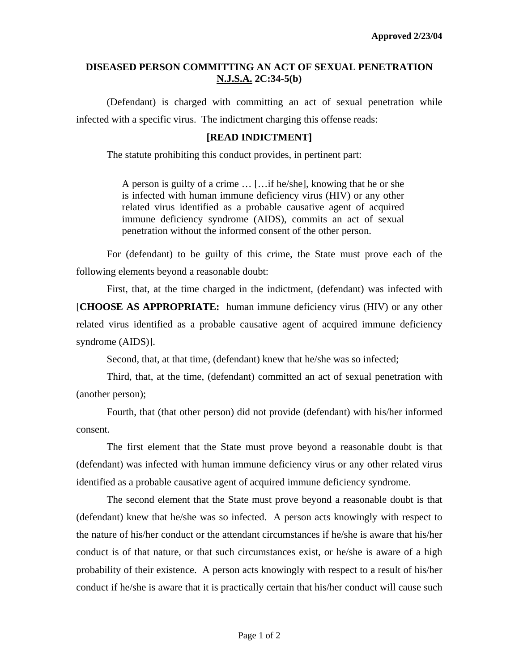## **DISEASED PERSON COMMITTING AN ACT OF SEXUAL PENETRATION N.J.S.A. 2C:34-5(b)**

 (Defendant) is charged with committing an act of sexual penetration while infected with a specific virus. The indictment charging this offense reads:

## **[READ INDICTMENT]**

The statute prohibiting this conduct provides, in pertinent part:

A person is guilty of a crime … […if he/she], knowing that he or she is infected with human immune deficiency virus (HIV) or any other related virus identified as a probable causative agent of acquired immune deficiency syndrome (AIDS), commits an act of sexual penetration without the informed consent of the other person.

 For (defendant) to be guilty of this crime, the State must prove each of the following elements beyond a reasonable doubt:

 First, that, at the time charged in the indictment, (defendant) was infected with [**CHOOSE AS APPROPRIATE:** human immune deficiency virus (HIV) or any other related virus identified as a probable causative agent of acquired immune deficiency syndrome (AIDS)].

Second, that, at that time, (defendant) knew that he/she was so infected;

 Third, that, at the time, (defendant) committed an act of sexual penetration with (another person);

 Fourth, that (that other person) did not provide (defendant) with his/her informed consent.

 The first element that the State must prove beyond a reasonable doubt is that (defendant) was infected with human immune deficiency virus or any other related virus identified as a probable causative agent of acquired immune deficiency syndrome.

<span id="page-0-0"></span> The second element that the State must prove beyond a reasonable doubt is that (defendant) knew that he/she was so infected. A person acts knowingly with respect to the nature of his/her conduct or the attendant circumstances if he/she is aware that his/her conduct is of that nature, or that such circumstances exist, or he/she is aware of a high probability of their existence. A person acts knowingly with respect to a result of his/her conduct if he/she is aware that it is practically certain that his/her conduct will cause such